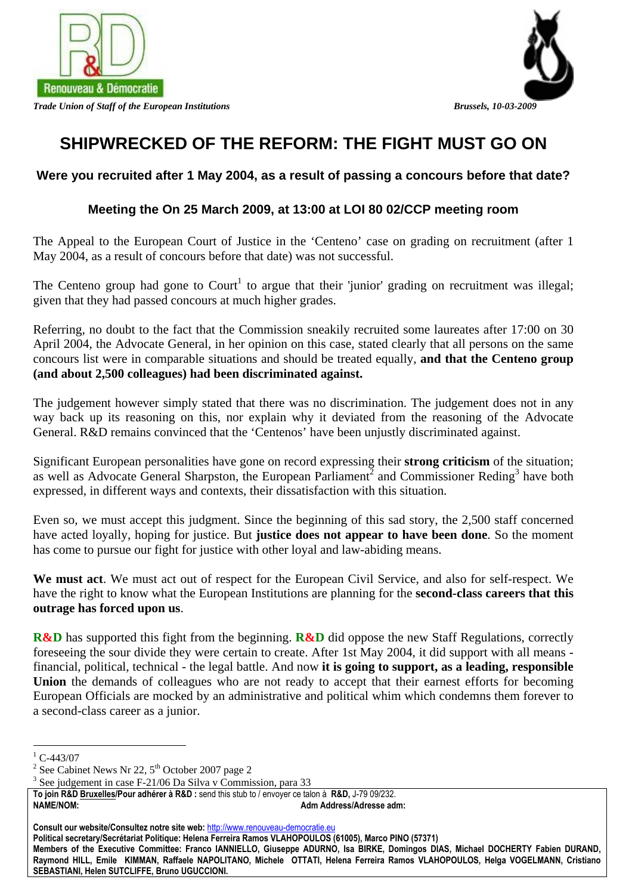

*Trade Union of Staff of the European Institutions Brussels, 10-03-2009* 



# **SHIPWRECKED OF THE REFORM: THE FIGHT MUST GO ON**

## **Were you recruited after 1 May 2004, as a result of passing a concours before that date?**

### **Meeting the On 25 March 2009, at 13:00 at LOI 80 02/CCP meeting room**

The Appeal to the European Court of Justice in the 'Centeno' case on grading on recruitment (after 1 May 2004, as a result of concours before that date) was not successful.

The Centeno group had gone to Court<sup>1</sup> to argue that their 'junior' grading on recruitment was illegal; given that they had passed concours at much higher grades.

Referring, no doubt to the fact that the Commission sneakily recruited some laureates after 17:00 on 30 April 2004, the Advocate General, in her opinion on this case, stated clearly that all persons on the same concours list were in comparable situations and should be treated equally, **and that the Centeno group (and about 2,500 colleagues) had been discriminated against.**

The judgement however simply stated that there was no discrimination. The judgement does not in any way back up its reasoning on this, nor explain why it deviated from the reasoning of the Advocate General. R&D remains convinced that the 'Centenos' have been unjustly discriminated against.

Significant European personalities have gone on record expressing their **strong criticism** of the situation; as well as Advocate General Sharpston, the European Parliament<sup>2</sup> and Commissioner Reding<sup>3</sup> have both expressed, in different ways and contexts, their dissatisfaction with this situation.

Even so, we must accept this judgment. Since the beginning of this sad story, the 2,500 staff concerned have acted loyally, hoping for justice. But **justice does not appear to have been done**. So the moment has come to pursue our fight for justice with other loyal and law-abiding means.

**We must act**. We must act out of respect for the European Civil Service, and also for self-respect. We have the right to know what the European Institutions are planning for the **second-class careers that this outrage has forced upon us**.

**R&D** has supported this fight from the beginning. **R&D** did oppose the new Staff Regulations, correctly foreseeing the sour divide they were certain to create. After 1st May 2004, it did support with all means financial, political, technical - the legal battle. And now **it is going to support, as a leading, responsible Union** the demands of colleagues who are not ready to accept that their earnest efforts for becoming European Officials are mocked by an administrative and political whim which condemns them forever to a second-class career as a junior.

**Political secretary/Secrétariat Politique: Helena Ferreira Ramos VLAHOPOULOS (61005), Marco PINO (57371)** 

 $\frac{1}{1}$  C-443/07

<sup>&</sup>lt;sup>2</sup> See Cabinet News Nr 22,  $5^{th}$  October 2007 page 2<br><sup>3</sup> See independ in ages E 21/06 De Silve y Commis

 $3$  See judgement in case F-21/06 Da Silva v Commission, para 33

**To join R&D Bruxelles/Pour adhérer à R&D :** send this stub to / envoyer ce talon à **R&D,** J-79 09/232. **NAME/NOM: Adm Address/Adresse adm:** 

**Consult our website/Consultez notre site web:** http://www.renouveau-democratie.eu

**Members of the Executive Committee: Franco IANNIELLO, Giuseppe ADURNO, Isa BIRKE, Domingos DIAS, Michael DOCHERTY Fabien DURAND, Raymond HILL, Emile KIMMAN, Raffaele NAPOLITANO, Michele OTTATI, Helena Ferreira Ramos VLAHOPOULOS, Helga VOGELMANN, Cristiano SEBASTIANI, Helen SUTCLIFFE, Bruno UGUCCIONI.**